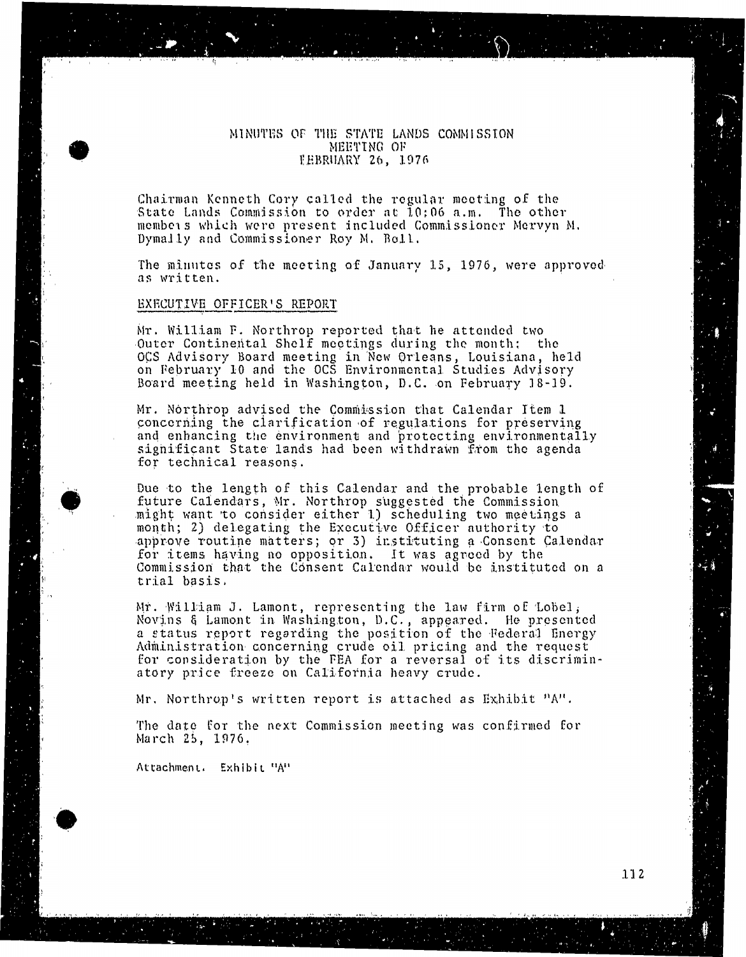### MINUTES OF THE STATE LANDS COMMISSION MEETING OF TEBRUARY 26, 1976 FEBRUARY 26, 1976

Chairman Kenneth Cory called the regular meeting of the State Lands Commission to order at  $10:06$  a.m. The other members which were present included Commissioner Mervyn M. Dymally and Commissioner Roy M. Boll.

The minutes of the meeting of January 15, 1976, were approved

## EXECUTIVE OFFICER'S REPORT

EXECUTIVE OFFICER'S REPORT

Mr. William F. Northrop reported that he attended two<br>Outer Continental Shelf meetings during the month: the OCS Advisory Board meeting in New Orleans, Lou on February 10 and the OCS Environmental Studies. Board meeting held in Washington, D.C. on February 18-19. Board meeting held in Washington, D. C. on February 18-19.

Mr. Northrop advised the Commission that Calendar Item 1 concerning the clarification of regulations for preserving and enhancing the environment and protecting environmentally significant State lands had been withdrawn from the agenda for technical reasons. for technical reasons.

Due to the length of this Calendar and the probable length of future Calendars, Mr. Northrop suggested the Commission might want to consider either 1) scheduling two meetings a month; 2) delegating the Executive Officer authority to approve routine matters; or 3) instituting a Consent Calendar for items having no opposition. It was agreed b Commission that the Consent Calendar woul trial basis. trial basis.

Mr. William J. Lamont, representing the law firm of Lobel;<br>Novins & Lamont in Washington, D.C., appeared. He presented a status report regarding the position of the Federal Energy Administration concerning crude oil pricing and th for consideration by the FEA for a reversal of atory price freeze on California heavy crude. atory price freeze on California heavy crude.

Mr. Northrop's written report is attached as Exhibit "A".

The date for the next Commission meeting was confirmed for March 25, 1976. March 25, 1976.

Attachment. Exhibit "A"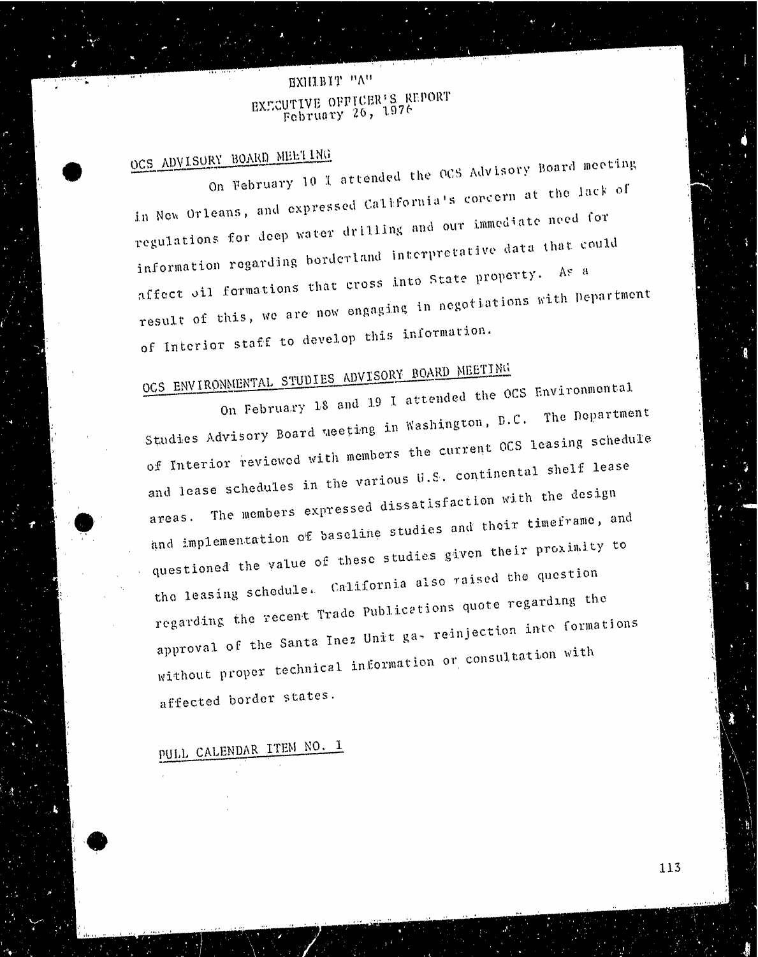## EXHIBIT "A"  $\frac{1}{26}$  Eq. Eq. Eq. externally  $\frac{26}{36}$ ,  $\frac{1976}{36}$ February 26, 1976

OCS ADVISORY BOARD MEETING<br>On February 10 1 attended the OCS Advisory Board meeting in New Orleans, and expressed California's concern at the lack of regulations for deep water drilling and our immediate need for information regarding borderland interpretative data that could affect sil formations that cross into State property. As a affect oil formations that constructions w result of this, we are now this informations of Interior staff to develop this information.<br>OCS ENVIRONMENTAL STUDIES ADVISORY BOARD MEETING

On February 18 and 19 I attended the OCS Environmental Studies Advisory Board neeting in Washington, D.C. The Department of Interior reviewed with members the current OCS leasing schedule and lease schedules in the various U.S. continental shelf lease The members expressed dissatisfaction with the design and implementation of baseline studies and their timeframe, and questioned the value of these studies given their proximity to the leasing schedule. California also raised the question regarding the recent Trade Publications quote regarding the approval of the Santa Inez Unit ga- reinjection inte formations approval of the  $S_{\text{max}}$  reproval of the santa  $\alpha$  reproval  $\alpha$ without proper comaffected border states.

# PULL CALENDAR ITEM NO. 1

113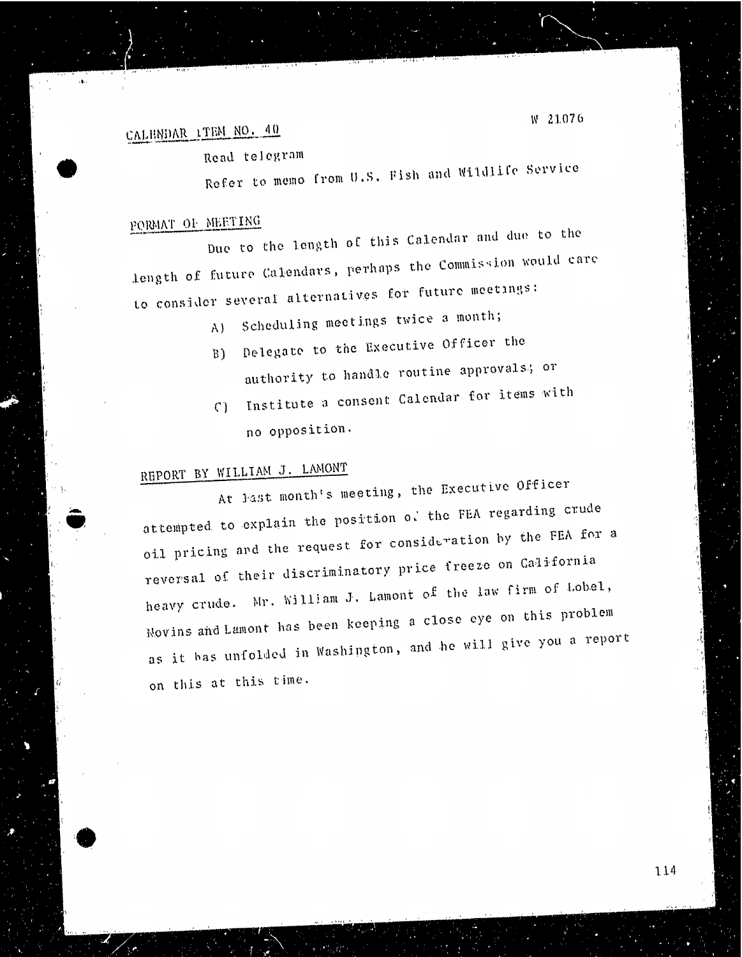## CALENDAR ITEM NO. 40

Read telegram

Refer to memo from U.S. Fish and Wildlife Service

PORMAT OF MEETING<br>Due to the length of this Calendar and due to the Due to the length of the calendar and due to the calendar and due to the calendar and due to the calendar and due to the calendar and due to the calendar and due to the calendar and due to the calendar and due to the calen length of future Calendary, perhaps the Commission would can be careful care the Commission would can be careful careful careful careful careful careful careful careful careful careful careful careful careful careful caref to consider several alternatives for future meetings:

- A) Scheduling meetings twice a month;
- B) Delegate to the Executive Officer the
- authority to handle routine approvals; or
- () Institute a consent Calendar for items with no opposition.

REPORT BY WILLIAM J. LAMONT<br>At last month's meeting, the Executive Officer at tempted to explain the position of the FEA regarding crude oil pricing and the request for consideration by the FEA for a reversal of their discriminatory price freeze on California heavy crude. Mr. William J. Lamont of the law firm of Lobel, Novins and Lamont has been keeping a close eye on this problem Novins and Lamont has been keeping a close even keeping a close which we are not the couplement of the couplement of the couplement of the couplement of the couplement of the couplement of the couplement of the couplement as it has unfolded in Washington, and he will give you a report of will give you a report of the will give you a report of the will give you a report of the will give you a report of the will give you a report of the will on this at this time.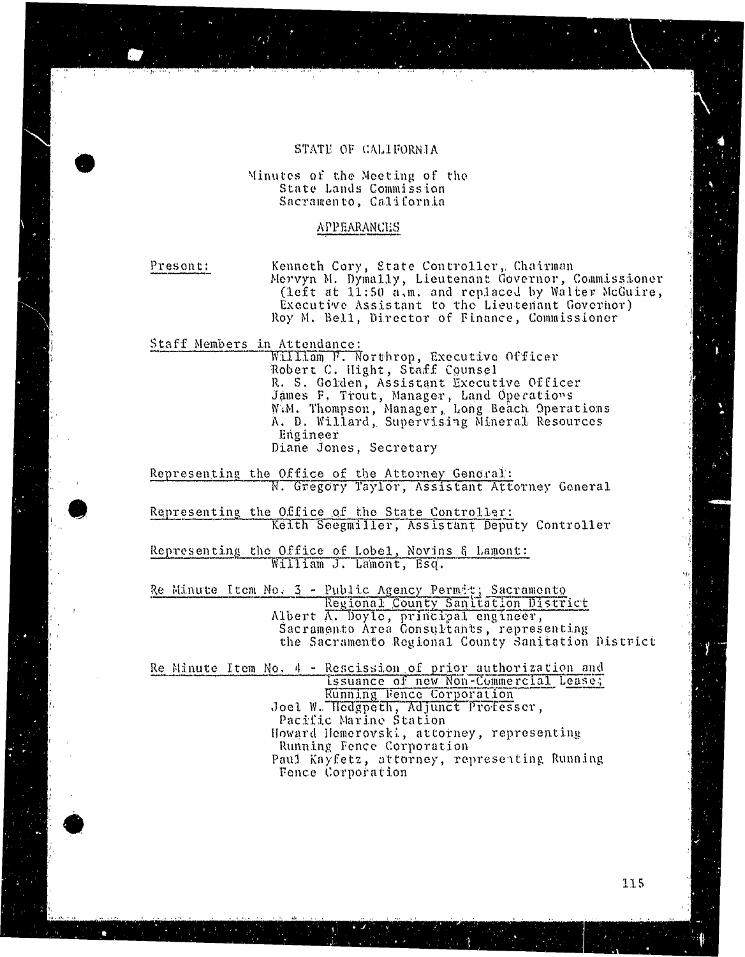## STATE OF CALIFORNIA

## State Lands Commission Sacramento, California

Present:

Kenneth Cory, State Controller, Chairman<br>Mervyn M. Dymally, Lieutenant Governor, Commissioner (left at  $1.1:50$  a,m. and replaced by Walter McGuire, Executive Assistant to the Lieutenant Governor) Roy M. Bell, Director of Finance, Commissioner

William F. Northrop, Executive Officer Robert C. Hight, Staff Counsel R. S. Golden, Assistant Executive Officer - James F, Trout, Manager, Land O W.M. Thompson, Manager, Long Beach A. D. Willard, Supervising Mineral Resource<br>- Engineer<br>Diane Jones, Secretary

Representing the Office of the Attorney General: N. Gregory Taylor, Assistant Attorney General

Representing the Office of the State Controller: Keith Seegmiller, Assistant Deputy Controller:<br>Representing the Office of Lobel, Novins & Lamont:

William J. Lamont, Esq.

William J. Lamont, Esq. Regional County Sanitation<br>Albert A. Doyle, principal engineer<br>Sacramento Area Consultants, repr the Sacramento Regional County Sanitation District the Sacramento Regional County  $\mathbb{R}^n$  ,  $\mathbb{R}^n$  ,  $\mathbb{R}^n$  ,  $\mathbb{R}^n$  ,  $\mathbb{R}^n$  ,  $\mathbb{R}^n$  ,  $\mathbb{R}^n$ 

issuance of new Non-Commercial Lease; Running Fence Corporation Joel W. Hedgpeth, Adjunct Professer, Pacific Marine Station Howard Hemerovski, attorney, representing Running Fence Corporation Paul Kayfetz, attorney, representing Running Fence Corporation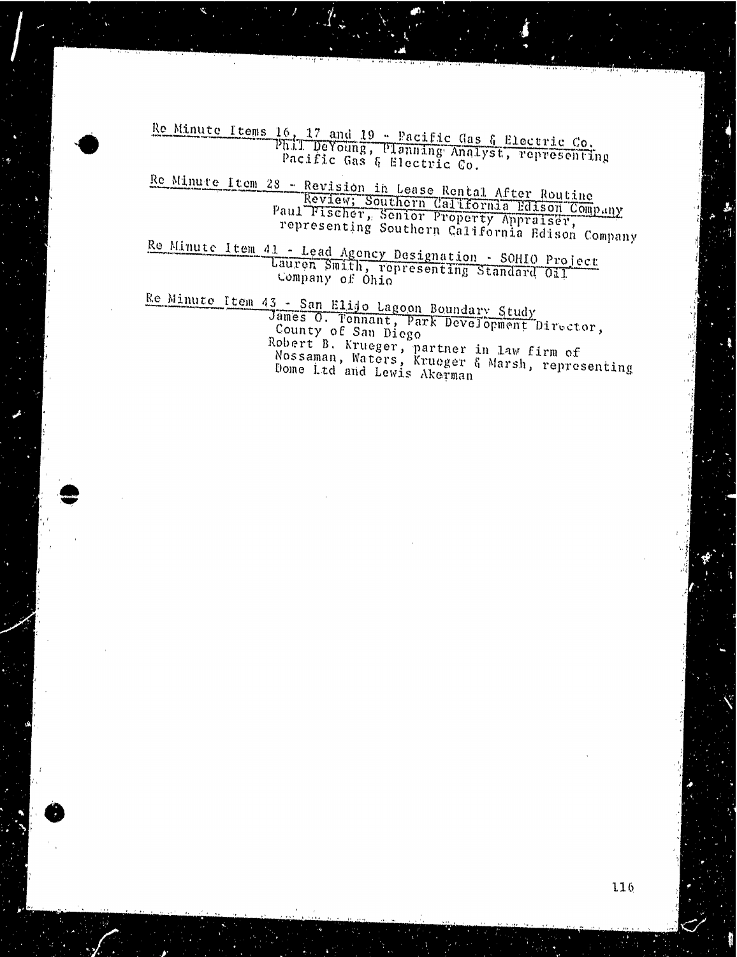Re Minute Items 16, 17 and 19 - Pacific Gas & Electric Phil. DeYoung, Planning Analyst, represent Pacific Gas & Electric

Re Minute Item 28 - Revision in Lease Rental After Re Paul Fischer, Southern California Edison Company Paul Fischer, Senior Property Appraiser representing Southern California Edison Company

Re Minute Item 41 - Lead Agency Designation - South project Lauren Smith, representing Standard Company of Ohio

 $Re$  Minute Item 43 - San Elijo Lagoon Boundary  $G_F$ James O. Tennant, Park Development Director County of San Die Robert B. Krueger, partner in law firm of Nossaman, Waters, Krueger & Marsh, representing Dome Ltd and Lewis Akerman